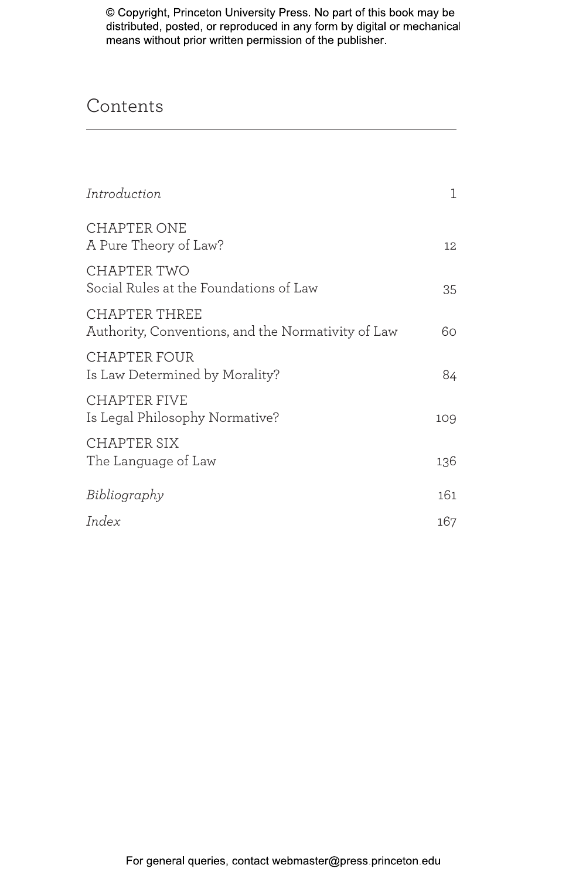# **Contents**

| Introduction                                                        | 1   |
|---------------------------------------------------------------------|-----|
| CHAPTER ONE<br>A Pure Theory of Law?                                | 12  |
| CHAPTER TWO<br>Social Rules at the Foundations of Law               | 35  |
| CHAPTER THREE<br>Authority, Conventions, and the Normativity of Law | 60  |
| CHAPTER FOUR<br>Is Law Determined by Morality?                      | 84  |
| CHAPTER FIVE<br>Is Legal Philosophy Normative?                      | 109 |
| CHAPTER SIX<br>The Language of Law                                  | 136 |
| Bibliography                                                        | 161 |
| Index                                                               | 167 |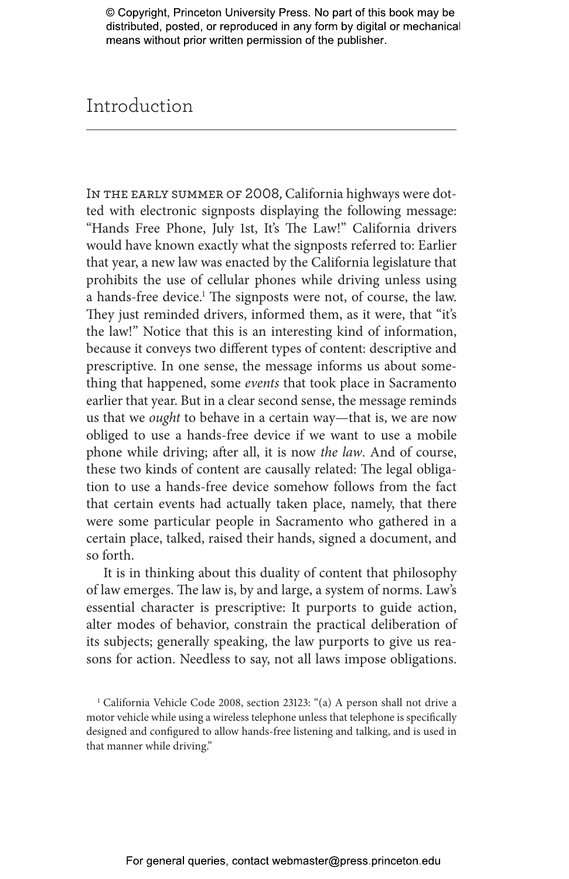## Introduction

IN THE EARLY SUMMER OF 2008, California highways were dotted with electronic signposts displaying the following message: "Hands Free Phone, July 1st, It's The Law!" California drivers would have known exactly what the signposts referred to: Earlier that year, a new law was enacted by the California legislature that prohibits the use of cellular phones while driving unless using a hands-free device.<sup>1</sup> The signposts were not, of course, the law. They just reminded drivers, informed them, as it were, that "it's the law!" Notice that this is an interesting kind of information, because it conveys two different types of content: descriptive and prescriptive. In one sense, the message informs us about something that happened, some *events* that took place in Sacramento earlier that year. But in a clear second sense, the message reminds us that we *ought* to behave in a certain way—that is, we are now obliged to use a hands-free device if we want to use a mobile phone while driving; after all, it is now *the law*. And of course, these two kinds of content are causally related: The legal obligation to use a hands-free device somehow follows from the fact that certain events had actually taken place, namely, that there were some particular people in Sacramento who gathered in a certain place, talked, raised their hands, signed a document, and so forth.

It is in thinking about this duality of content that philosophy of law emerges. The law is, by and large, a system of norms. Law's essential character is prescriptive: It purports to guide action, alter modes of behavior, constrain the practical deliberation of its subjects; generally speaking, the law purports to give us reasons for action. Needless to say, not all laws impose obligations.

<sup>1</sup> California Vehicle Code 2008, section 23123: "(a) A person shall not drive a motor vehicle while using a wireless telephone unless that telephone is specifically designed and configured to allow hands-free listening and talking, and is used in that manner while driving."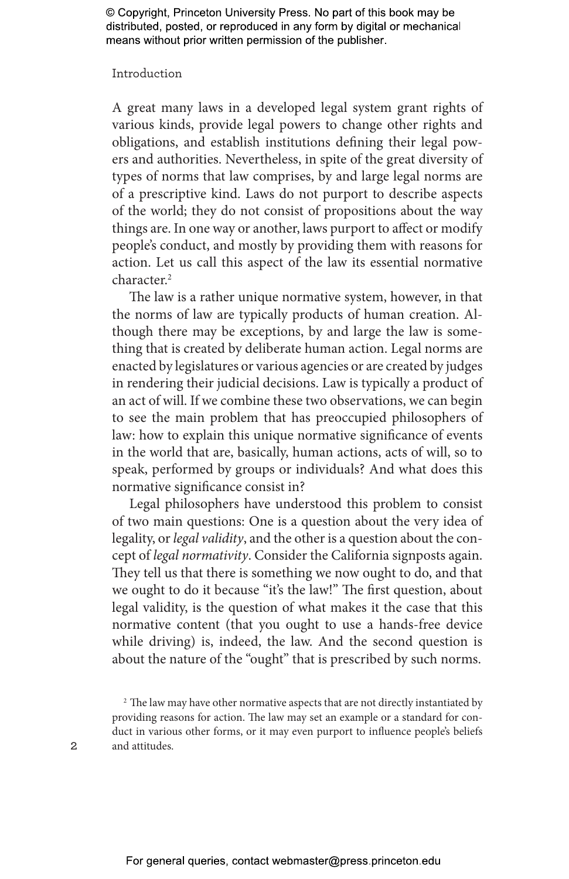## Introduction

A great many laws in a developed legal system grant rights of various kinds, provide legal powers to change other rights and obligations, and establish institutions defining their legal powers and authorities. Nevertheless, in spite of the great diversity of types of norms that law comprises, by and large legal norms are of a prescriptive kind. Laws do not purport to describe aspects of the world; they do not consist of propositions about the way things are. In one way or another, laws purport to affect or modify people's conduct, and mostly by providing them with reasons for action. Let us call this aspect of the law its essential normative character.2

The law is a rather unique normative system, however, in that the norms of law are typically products of human creation. Although there may be exceptions, by and large the law is something that is created by deliberate human action. Legal norms are enacted by legislatures or various agencies or are created by judges in rendering their judicial decisions. Law is typically a product of an act of will. If we combine these two observations, we can begin to see the main problem that has preoccupied philosophers of law: how to explain this unique normative significance of events in the world that are, basically, human actions, acts of will, so to speak, performed by groups or individuals? And what does this normative significance consist in?

Legal philosophers have understood this problem to consist of two main questions: One is a question about the very idea of legality, or *legal validity*, and the other is a question about the concept of *legal normativity*. Consider the California signposts again. They tell us that there is something we now ought to do, and that we ought to do it because "it's the law!" The first question, about legal validity, is the question of what makes it the case that this normative content (that you ought to use a hands-free device while driving) is, indeed, the law. And the second question is about the nature of the "ought" that is prescribed by such norms.

<sup>2</sup> The law may have other normative aspects that are not directly instantiated by providing reasons for action. The law may set an example or a standard for conduct in various other forms, or it may even purport to influence people's beliefs and attitudes.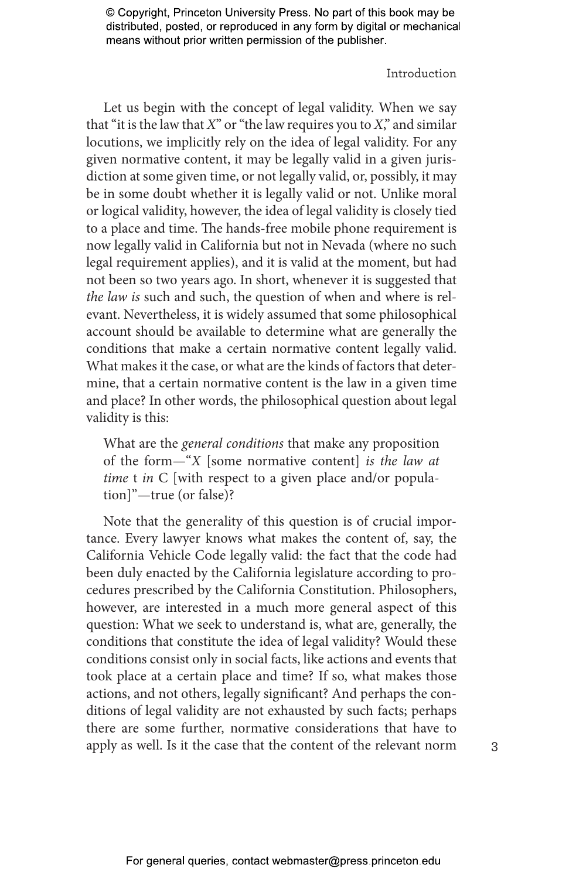#### Introduction

Let us begin with the concept of legal validity. When we say that "it is the law that *X*" or "the law requires you to *X*," and similar locutions, we implicitly rely on the idea of legal validity. For any given normative content, it may be legally valid in a given jurisdiction at some given time, or not legally valid, or, possibly, it may be in some doubt whether it is legally valid or not. Unlike moral or logical validity, however, the idea of legal validity is closely tied to a place and time. The hands-free mobile phone requirement is now legally valid in California but not in Nevada (where no such legal requirement applies), and it is valid at the moment, but had not been so two years ago. In short, whenever it is suggested that *the law is* such and such, the question of when and where is relevant. Nevertheless, it is widely assumed that some philosophical account should be available to determine what are generally the conditions that make a certain normative content legally valid. What makes it the case, or what are the kinds of factors that determine, that a certain normative content is the law in a given time and place? In other words, the philosophical question about legal validity is this:

What are the *general conditions* that make any proposition of the form—"*X* [some normative content] *is the law at time* t *in* C [with respect to a given place and/or population]"—true (or false)?

Note that the generality of this question is of crucial importance. Every lawyer knows what makes the content of, say, the California Vehicle Code legally valid: the fact that the code had been duly enacted by the California legislature according to procedures prescribed by the California Constitution. Philosophers, however, are interested in a much more general aspect of this question: What we seek to understand is, what are, generally, the conditions that constitute the idea of legal validity? Would these conditions consist only in social facts, like actions and events that took place at a certain place and time? If so, what makes those actions, and not others, legally significant? And perhaps the conditions of legal validity are not exhausted by such facts; perhaps there are some further, normative considerations that have to apply as well. Is it the case that the content of the relevant norm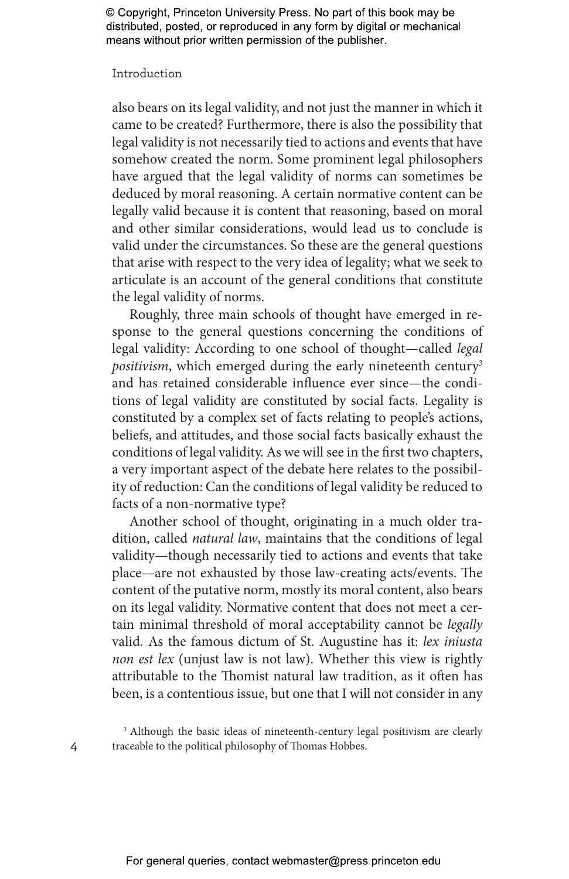#### Introduction

also bears on its legal validity, and not just the manner in which it came to be created? Furthermore, there is also the possibility that legal validity is not necessarily tied to actions and events that have somehow created the norm. Some prominent legal philosophers have argued that the legal validity of norms can sometimes be deduced by moral reasoning. A certain normative content can be legally valid because it is content that reasoning, based on moral and other similar considerations, would lead us to conclude is valid under the circumstances. So these are the general questions that arise with respect to the very idea of legality; what we seek to articulate is an account of the general conditions that constitute the legal validity of norms.

Roughly, three main schools of thought have emerged in response to the general questions concerning the conditions of legal validity: According to one school of thought—called *legal positivism*, which emerged during the early nineteenth century<sup>3</sup> and has retained considerable influence ever since—the conditions of legal validity are constituted by social facts. Legality is constituted by a complex set of facts relating to people's actions, beliefs, and attitudes, and those social facts basically exhaust the conditions of legal validity. As we will see in the first two chapters, a very important aspect of the debate here relates to the possibility of reduction: Can the conditions of legal validity be reduced to facts of a non-normative type?

Another school of thought, originating in a much older tradition, called *natural law*, maintains that the conditions of legal validity—though necessarily tied to actions and events that take place—are not exhausted by those law-creating acts/events. The content of the putative norm, mostly its moral content, also bears on its legal validity. Normative content that does not meet a certain minimal threshold of moral acceptability cannot be *legally* valid. As the famous dictum of St. Augustine has it: *lex iniusta non est lex* (unjust law is not law). Whether this view is rightly attributable to the Thomist natural law tradition, as it often has been, is a contentious issue, but one that I will not consider in any

<sup>3</sup> Although the basic ideas of nineteenth-century legal positivism are clearly traceable to the political philosophy of Thomas Hobbes.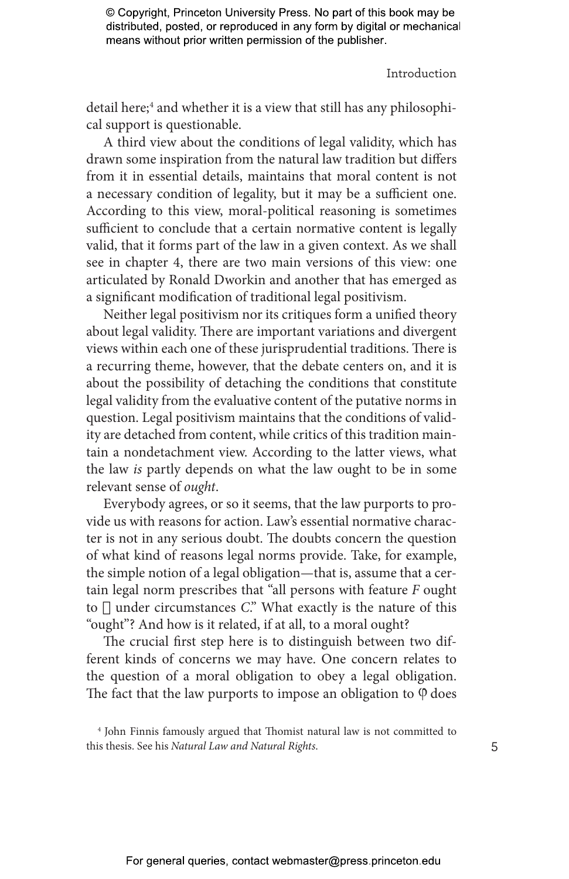Introduction

detail here;<sup>4</sup> and whether it is a view that still has any philosophical support is questionable.

A third view about the conditions of legal validity, which has drawn some inspiration from the natural law tradition but differs from it in essential details, maintains that moral content is not a necessary condition of legality, but it may be a sufficient one. According to this view, moral-political reasoning is sometimes sufficient to conclude that a certain normative content is legally valid, that it forms part of the law in a given context. As we shall see in chapter 4, there are two main versions of this view: one articulated by Ronald Dworkin and another that has emerged as a significant modification of traditional legal positivism.

Neither legal positivism nor its critiques form a unified theory about legal validity. There are important variations and divergent views within each one of these jurisprudential traditions. There is a recurring theme, however, that the debate centers on, and it is about the possibility of detaching the conditions that constitute legal validity from the evaluative content of the putative norms in question. Legal positivism maintains that the conditions of validity are detached from content, while critics of this tradition maintain a nondetachment view. According to the latter views, what the law *is* partly depends on what the law ought to be in some relevant sense of *ought*.

Everybody agrees, or so it seems, that the law purports to provide us with reasons for action. Law's essential normative character is not in any serious doubt. The doubts concern the question of what kind of reasons legal norms provide. Take, for example, the simple notion of a legal obligation—that is, assume that a certain legal norm prescribes that "all persons with feature *F* ought to  $\Box$  under circumstances *C*." What exactly is the nature of this "ought"? And how is it related, if at all, to a moral ought?

The crucial first step here is to distinguish between two different kinds of concerns we may have. One concern relates to the question of a moral obligation to obey a legal obligation. The fact that the law purports to impose an obligation to  $\varphi$  does

<sup>4</sup> John Finnis famously argued that Thomist natural law is not committed to this thesis. See his *Natural Law and Natural Rights*.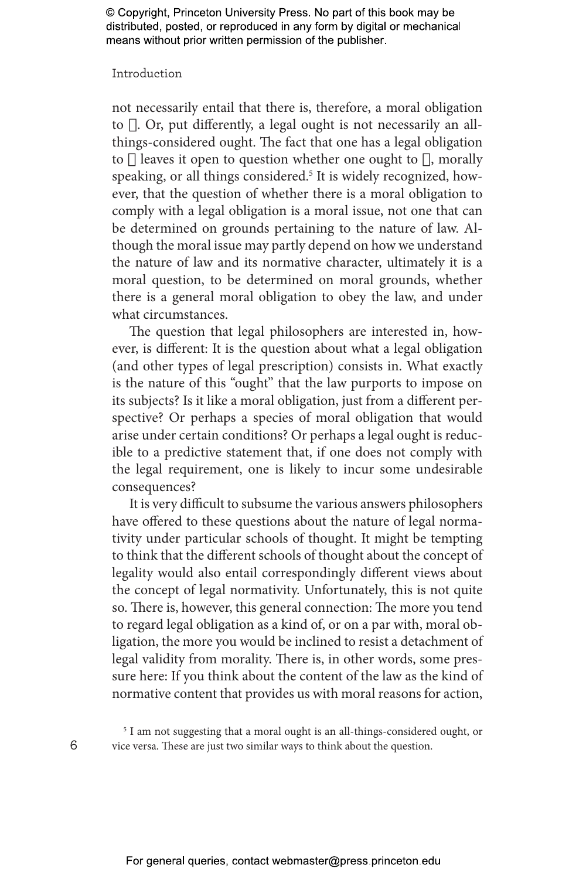## Introduction

not necessarily entail that there is, therefore, a moral obligation to  $\Box$ . Or, put differently, a legal ought is not necessarily an allthings-considered ought. The fact that one has a legal obligation to  $\Box$  leaves it open to question whether one ought to  $\Box$ , morally speaking, or all things considered.<sup>5</sup> It is widely recognized, however, that the question of whether there is a moral obligation to comply with a legal obligation is a moral issue, not one that can be determined on grounds pertaining to the nature of law. Although the moral issue may partly depend on how we understand the nature of law and its normative character, ultimately it is a moral question, to be determined on moral grounds, whether there is a general moral obligation to obey the law, and under what circumstances.

The question that legal philosophers are interested in, however, is different: It is the question about what a legal obligation (and other types of legal prescription) consists in. What exactly is the nature of this "ought" that the law purports to impose on its subjects? Is it like a moral obligation, just from a different perspective? Or perhaps a species of moral obligation that would arise under certain conditions? Or perhaps a legal ought is reducible to a predictive statement that, if one does not comply with the legal requirement, one is likely to incur some undesirable consequences?

It is very difficult to subsume the various answers philosophers have offered to these questions about the nature of legal normativity under particular schools of thought. It might be tempting to think that the different schools of thought about the concept of legality would also entail correspondingly different views about the concept of legal normativity. Unfortunately, this is not quite so. There is, however, this general connection: The more you tend to regard legal obligation as a kind of, or on a par with, moral obligation, the more you would be inclined to resist a detachment of legal validity from morality. There is, in other words, some pressure here: If you think about the content of the law as the kind of normative content that provides us with moral reasons for action,

6

<sup>5</sup> I am not suggesting that a moral ought is an all-things-considered ought, or vice versa. These are just two similar ways to think about the question.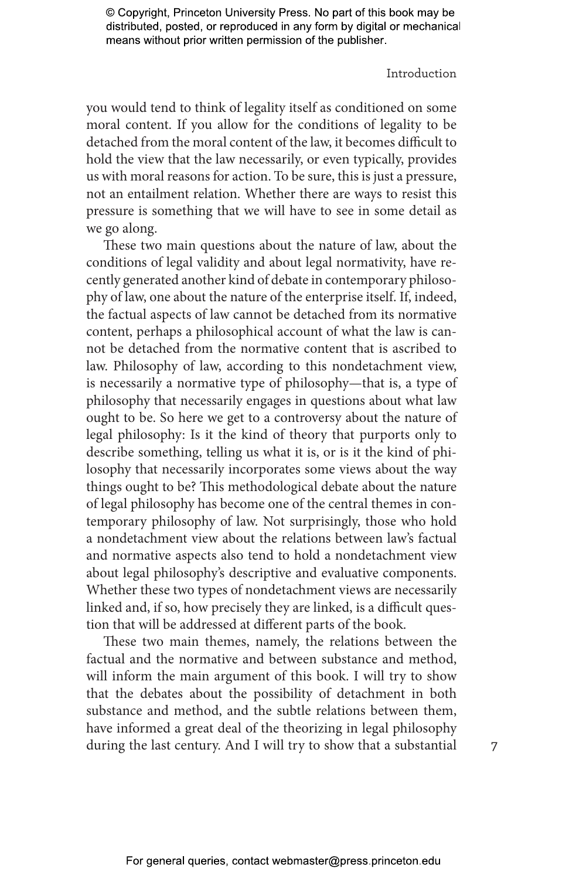#### Introduction

you would tend to think of legality itself as conditioned on some moral content. If you allow for the conditions of legality to be detached from the moral content of the law, it becomes difficult to hold the view that the law necessarily, or even typically, provides us with moral reasons for action. To be sure, this is just a pressure, not an entailment relation. Whether there are ways to resist this pressure is something that we will have to see in some detail as we go along.

These two main questions about the nature of law, about the conditions of legal validity and about legal normativity, have recently generated another kind of debate in contemporary philosophy of law, one about the nature of the enterprise itself. If, indeed, the factual aspects of law cannot be detached from its normative content, perhaps a philosophical account of what the law is cannot be detached from the normative content that is ascribed to law. Philosophy of law, according to this nondetachment view, is necessarily a normative type of philosophy—that is, a type of philosophy that necessarily engages in questions about what law ought to be. So here we get to a controversy about the nature of legal philosophy: Is it the kind of theory that purports only to describe something, telling us what it is, or is it the kind of philosophy that necessarily incorporates some views about the way things ought to be? This methodological debate about the nature of legal philosophy has become one of the central themes in contemporary philosophy of law. Not surprisingly, those who hold a nondetachment view about the relations between law's factual and normative aspects also tend to hold a nondetachment view about legal philosophy's descriptive and evaluative components. Whether these two types of nondetachment views are necessarily linked and, if so, how precisely they are linked, is a difficult question that will be addressed at different parts of the book.

These two main themes, namely, the relations between the factual and the normative and between substance and method, will inform the main argument of this book. I will try to show that the debates about the possibility of detachment in both substance and method, and the subtle relations between them, have informed a great deal of the theorizing in legal philosophy during the last century. And I will try to show that a substantial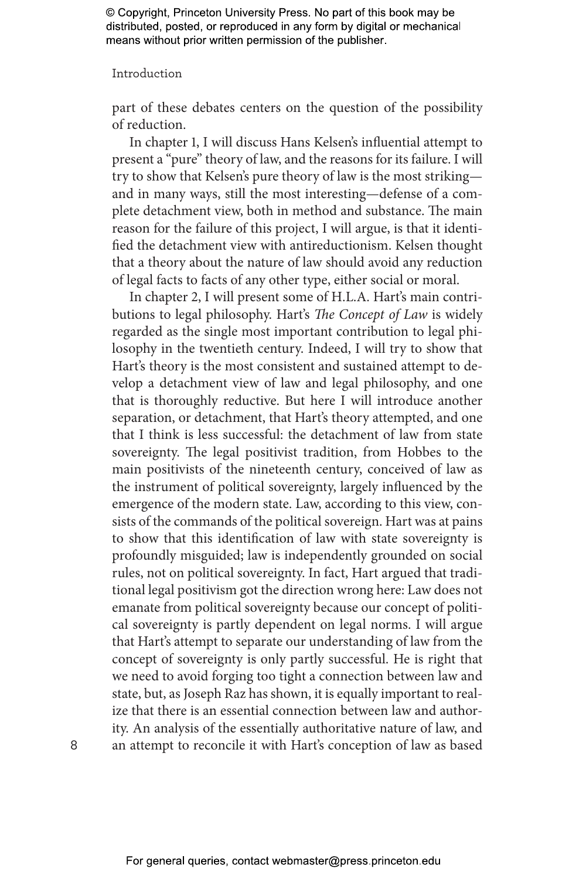## Introduction

part of these debates centers on the question of the possibility of reduction.

In chapter 1, I will discuss Hans Kelsen's influential attempt to present a "pure" theory of law, and the reasons for its failure. I will try to show that Kelsen's pure theory of law is the most striking and in many ways, still the most interesting—defense of a complete detachment view, both in method and substance. The main reason for the failure of this project, I will argue, is that it identified the detachment view with antireductionism. Kelsen thought that a theory about the nature of law should avoid any reduction of legal facts to facts of any other type, either social or moral.

In chapter 2, I will present some of H.L.A. Hart's main contributions to legal philosophy. Hart's *The Concept of Law* is widely regarded as the single most important contribution to legal philosophy in the twentieth century. Indeed, I will try to show that Hart's theory is the most consistent and sustained attempt to develop a detachment view of law and legal philosophy, and one that is thoroughly reductive. But here I will introduce another separation, or detachment, that Hart's theory attempted, and one that I think is less successful: the detachment of law from state sovereignty. The legal positivist tradition, from Hobbes to the main positivists of the nineteenth century, conceived of law as the instrument of political sovereignty, largely influenced by the emergence of the modern state. Law, according to this view, consists of the commands of the political sovereign. Hart was at pains to show that this identification of law with state sovereignty is profoundly misguided; law is independently grounded on social rules, not on political sovereignty. In fact, Hart argued that traditional legal positivism got the direction wrong here: Law does not emanate from political sovereignty because our concept of political sovereignty is partly dependent on legal norms. I will argue that Hart's attempt to separate our understanding of law from the concept of sovereignty is only partly successful. He is right that we need to avoid forging too tight a connection between law and state, but, as Joseph Raz has shown, it is equally important to realize that there is an essential connection between law and authority. An analysis of the essentially authoritative nature of law, and an attempt to reconcile it with Hart's conception of law as based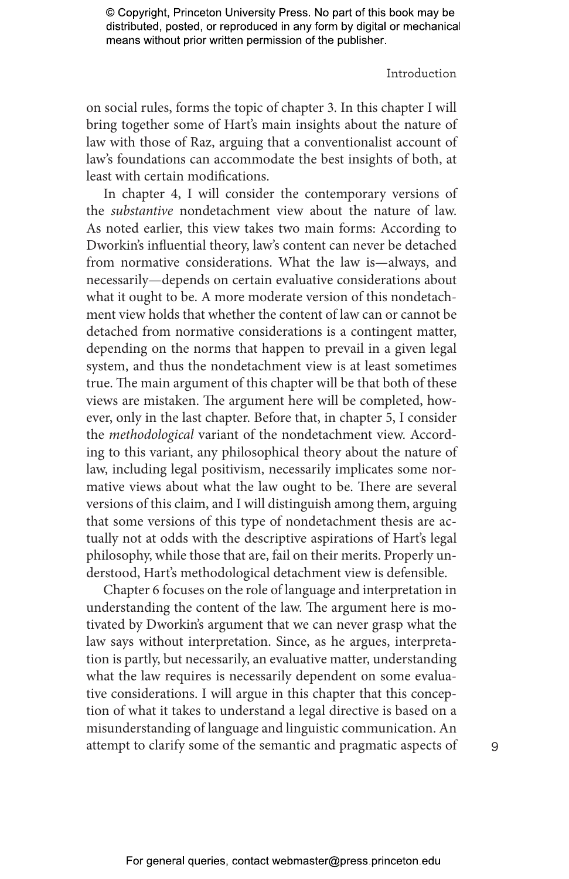Introduction

on social rules, forms the topic of chapter 3. In this chapter I will bring together some of Hart's main insights about the nature of law with those of Raz, arguing that a conventionalist account of law's foundations can accommodate the best insights of both, at least with certain modifications.

In chapter 4, I will consider the contemporary versions of the *substantive* nondetachment view about the nature of law. As noted earlier, this view takes two main forms: According to Dworkin's influential theory, law's content can never be detached from normative considerations. What the law is—always, and necessarily—depends on certain evaluative considerations about what it ought to be. A more moderate version of this nondetachment view holds that whether the content of law can or cannot be detached from normative considerations is a contingent matter, depending on the norms that happen to prevail in a given legal system, and thus the nondetachment view is at least sometimes true. The main argument of this chapter will be that both of these views are mistaken. The argument here will be completed, however, only in the last chapter. Before that, in chapter 5, I consider the *methodological* variant of the nondetachment view. According to this variant, any philosophical theory about the nature of law, including legal positivism, necessarily implicates some normative views about what the law ought to be. There are several versions of this claim, and I will distinguish among them, arguing that some versions of this type of nondetachment thesis are actually not at odds with the descriptive aspirations of Hart's legal philosophy, while those that are, fail on their merits. Properly understood, Hart's methodological detachment view is defensible.

Chapter 6 focuses on the role of language and interpretation in understanding the content of the law. The argument here is motivated by Dworkin's argument that we can never grasp what the law says without interpretation. Since, as he argues, interpretation is partly, but necessarily, an evaluative matter, understanding what the law requires is necessarily dependent on some evaluative considerations. I will argue in this chapter that this conception of what it takes to understand a legal directive is based on a misunderstanding of language and linguistic communication. An attempt to clarify some of the semantic and pragmatic aspects of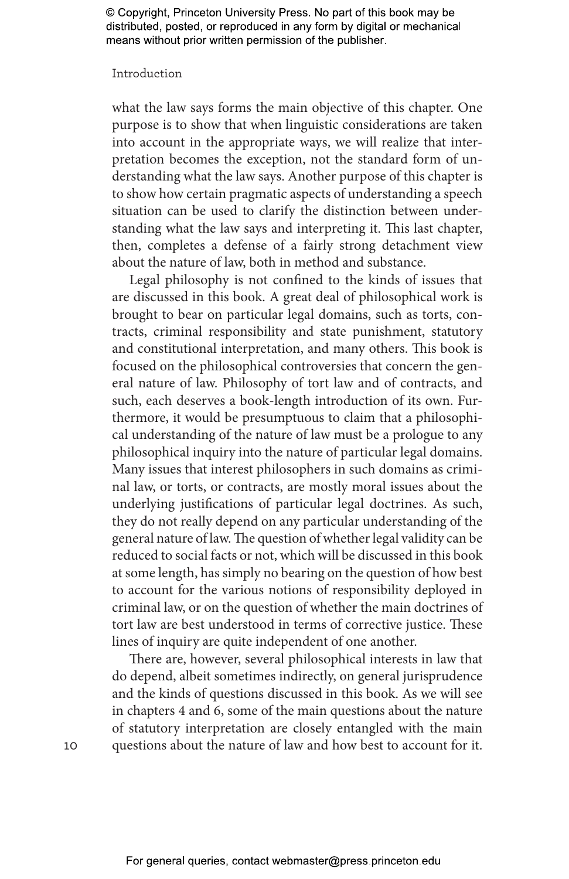## Introduction

what the law says forms the main objective of this chapter. One purpose is to show that when linguistic considerations are taken into account in the appropriate ways, we will realize that interpretation becomes the exception, not the standard form of understanding what the law says. Another purpose of this chapter is to show how certain pragmatic aspects of understanding a speech situation can be used to clarify the distinction between understanding what the law says and interpreting it. This last chapter, then, completes a defense of a fairly strong detachment view about the nature of law, both in method and substance.

Legal philosophy is not confined to the kinds of issues that are discussed in this book. A great deal of philosophical work is brought to bear on particular legal domains, such as torts, contracts, criminal responsibility and state punishment, statutory and constitutional interpretation, and many others. This book is focused on the philosophical controversies that concern the general nature of law. Philosophy of tort law and of contracts, and such, each deserves a book-length introduction of its own. Furthermore, it would be presumptuous to claim that a philosophical understanding of the nature of law must be a prologue to any philosophical inquiry into the nature of particular legal domains. Many issues that interest philosophers in such domains as criminal law, or torts, or contracts, are mostly moral issues about the underlying justifications of particular legal doctrines. As such, they do not really depend on any particular understanding of the general nature of law. The question of whether legal validity can be reduced to social facts or not, which will be discussed in this book at some length, has simply no bearing on the question of how best to account for the various notions of responsibility deployed in criminal law, or on the question of whether the main doctrines of tort law are best understood in terms of corrective justice. These lines of inquiry are quite independent of one another.

There are, however, several philosophical interests in law that do depend, albeit sometimes indirectly, on general jurisprudence and the kinds of questions discussed in this book. As we will see in chapters 4 and 6, some of the main questions about the nature of statutory interpretation are closely entangled with the main questions about the nature of law and how best to account for it.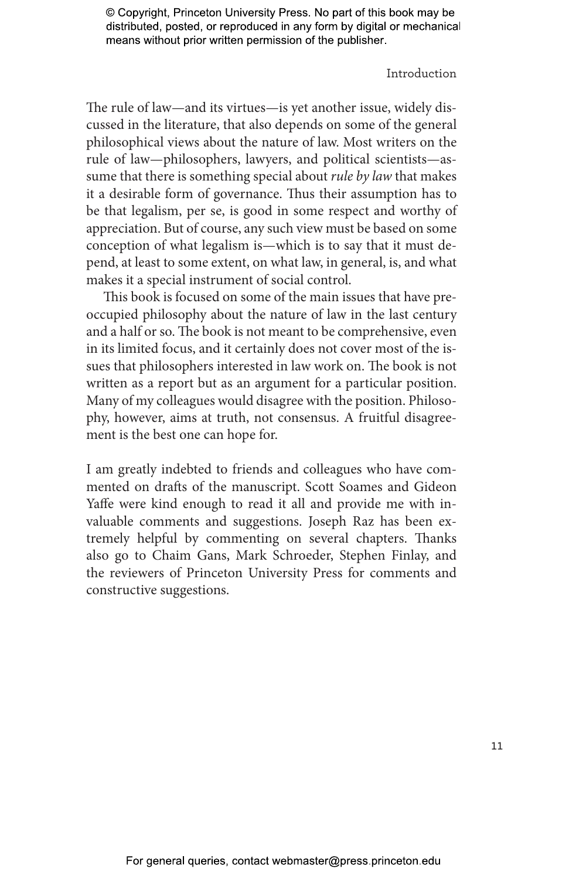#### Introduction

The rule of law—and its virtues—is yet another issue, widely discussed in the literature, that also depends on some of the general philosophical views about the nature of law. Most writers on the rule of law—philosophers, lawyers, and political scientists—assume that there is something special about *rule by law* that makes it a desirable form of governance. Thus their assumption has to be that legalism, per se, is good in some respect and worthy of appreciation. But of course, any such view must be based on some conception of what legalism is—which is to say that it must depend, at least to some extent, on what law, in general, is, and what makes it a special instrument of social control.

This book is focused on some of the main issues that have preoccupied philosophy about the nature of law in the last century and a half or so. The book is not meant to be comprehensive, even in its limited focus, and it certainly does not cover most of the issues that philosophers interested in law work on. The book is not written as a report but as an argument for a particular position. Many of my colleagues would disagree with the position. Philosophy, however, aims at truth, not consensus. A fruitful disagreement is the best one can hope for.

I am greatly indebted to friends and colleagues who have commented on drafts of the manuscript. Scott Soames and Gideon Yaffe were kind enough to read it all and provide me with invaluable comments and suggestions. Joseph Raz has been extremely helpful by commenting on several chapters. Thanks also go to Chaim Gans, Mark Schroeder, Stephen Finlay, and the reviewers of Princeton University Press for comments and constructive suggestions.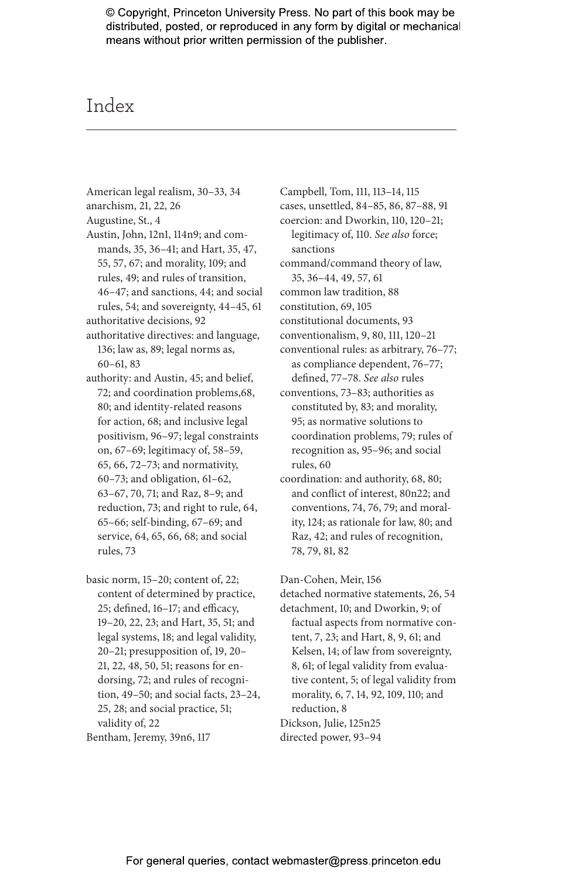## Index

- American legal realism, 30–33, 34
- anarchism, 21, 22, 26
- Augustine, St., 4
- Austin, John, 12n1, 114n9; and commands, 35, 36–41; and Hart, 35, 47, 55, 57, 67; and morality, 109; and rules, 49; and rules of transition, 46–47; and sanctions, 44; and social rules, 54; and sovereignty, 44–45, 61

authoritative decisions, 92

- authoritative directives: and language, 136; law as, 89; legal norms as, 60–61, 83
- authority: and Austin, 45; and belief, 72; and coordination problems,68, 80; and identity-related reasons for action, 68; and inclusive legal positivism, 96–97; legal constraints on, 67–69; legitimacy of, 58–59, 65, 66, 72–73; and normativity, 60–73; and obligation, 61–62, 63–67, 70, 71; and Raz, 8–9; and reduction, 73; and right to rule, 64, 65–66; self-binding, 67–69; and service, 64, 65, 66, 68; and social rules, 73

basic norm, 15–20; content of, 22; content of determined by practice, 25; defined, 16–17; and efficacy, 19–20, 22, 23; and Hart, 35, 51; and legal systems, 18; and legal validity, 20–21; presupposition of, 19, 20– 21, 22, 48, 50, 51; reasons for endorsing, 72; and rules of recognition, 49–50; and social facts, 23–24, 25, 28; and social practice, 51; validity of, 22 Bentham, Jeremy, 39n6, 117

Campbell, Tom, 111, 113–14, 115 cases, unsettled, 84–85, 86, 87–88, 91 coercion: and Dworkin, 110, 120–21; legitimacy of, 110. *See also* force; sanctions command/command theory of law, 35, 36–44, 49, 57, 61 common law tradition, 88 constitution, 69, 105 constitutional documents, 93 conventionalism, 9, 80, 111, 120–21 conventional rules: as arbitrary, 76–77; as compliance dependent, 76–77; defined, 77–78. *See also* rules conventions, 73–83; authorities as constituted by, 83; and morality, 95; as normative solutions to coordination problems, 79; rules of recognition as, 95–96; and social rules, 60 coordination: and authority, 68, 80; and conflict of interest, 80n22; and

conventions, 74, 76, 79; and morality, 124; as rationale for law, 80; and Raz, 42; and rules of recognition, 78, 79, 81, 82

Dan-Cohen, Meir, 156

detached normative statements, 26, 54 detachment, 10; and Dworkin, 9; of factual aspects from normative content, 7, 23; and Hart, 8, 9, 61; and Kelsen, 14; of law from sovereignty, 8, 61; of legal validity from evaluative content, 5; of legal validity from morality, 6, 7, 14, 92, 109, 110; and reduction, 8 Dickson, Julie, 125n25

directed power, 93–94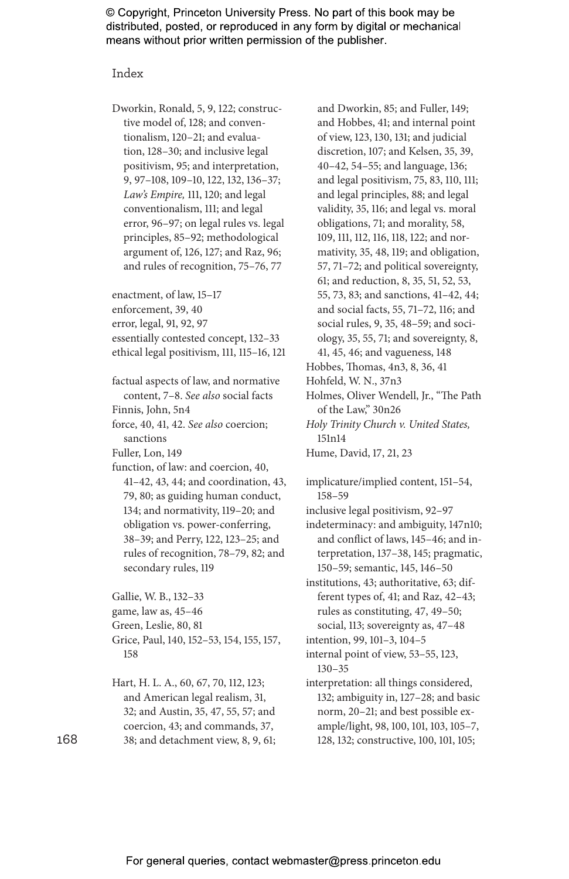## Index

Dworkin, Ronald, 5, 9, 122; constructive model of, 128; and conventionalism, 120–21; and evaluation, 128–30; and inclusive legal positivism, 95; and interpretation, 9, 97–108, 109–10, 122, 132, 136–37; *Law's Empire,* 111, 120; and legal conventionalism, 111; and legal error, 96–97; on legal rules vs. legal principles, 85–92; methodological argument of, 126, 127; and Raz, 96; and rules of recognition, 75–76, 77

enactment, of law, 15–17 enforcement, 39, 40 error, legal, 91, 92, 97 essentially contested concept, 132–33 ethical legal positivism, 111, 115–16, 121

factual aspects of law, and normative content, 7–8. *See also* social facts Finnis, John, 5n4

force, 40, 41, 42. *See also* coercion; sanctions

Fuller, Lon, 149

function, of law: and coercion, 40, 41–42, 43, 44; and coordination, 43, 79, 80; as guiding human conduct, 134; and normativity, 119–20; and obligation vs. power-conferring, 38–39; and Perry, 122, 123–25; and rules of recognition, 78–79, 82; and secondary rules, 119

Gallie, W. B., 132–33

game, law as, 45–46

Green, Leslie, 80, 81

- Grice, Paul, 140, 152–53, 154, 155, 157, 158
- Hart, H. L. A., 60, 67, 70, 112, 123; and American legal realism, 31, 32; and Austin, 35, 47, 55, 57; and coercion, 43; and commands, 37, 38; and detachment view, 8, 9, 61;

and Dworkin, 85; and Fuller, 149; and Hobbes, 41; and internal point of view, 123, 130, 131; and judicial discretion, 107; and Kelsen, 35, 39, 40–42, 54–55; and language, 136; and legal positivism, 75, 83, 110, 111; and legal principles, 88; and legal validity, 35, 116; and legal vs. moral obligations, 71; and morality, 58, 109, 111, 112, 116, 118, 122; and normativity, 35, 48, 119; and obligation, 57, 71–72; and political sovereignty, 61; and reduction, 8, 35, 51, 52, 53, 55, 73, 83; and sanctions, 41–42, 44; and social facts, 55, 71–72, 116; and social rules, 9, 35, 48–59; and sociology, 35, 55, 71; and sovereignty, 8, 41, 45, 46; and vagueness, 148 Hobbes, Thomas, 4n3, 8, 36, 41 Hohfeld, W. N., 37n3 Holmes, Oliver Wendell, Jr., "The Path of the Law," 30n26

*Holy Trinity Church v. United States,* 151n14

Hume, David, 17, 21, 23

implicature/implied content, 151–54, 158–59 inclusive legal positivism, 92–97 indeterminacy: and ambiguity, 147n10; and conflict of laws, 145–46; and in-

terpretation, 137–38, 145; pragmatic, 150–59; semantic, 145, 146–50 institutions, 43; authoritative, 63; different types of, 41; and Raz, 42–43;

rules as constituting, 47, 49–50; social, 113; sovereignty as, 47–48

intention, 99, 101–3, 104–5

- internal point of view, 53–55, 123, 130–35
- interpretation: all things considered, 132; ambiguity in, 127–28; and basic norm, 20–21; and best possible example/light, 98, 100, 101, 103, 105–7, 128, 132; constructive, 100, 101, 105;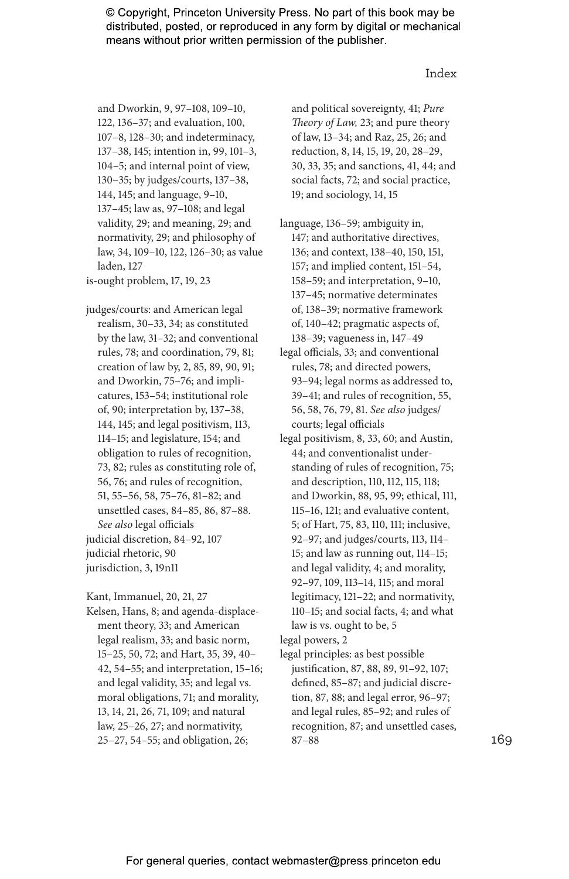#### Index

and Dworkin, 9, 97–108, 109–10, 122, 136–37; and evaluation, 100, 107–8, 128–30; and indeterminacy, 137–38, 145; intention in, 99, 101–3, 104–5; and internal point of view, 130–35; by judges/courts, 137–38, 144, 145; and language, 9–10, 137–45; law as, 97–108; and legal validity, 29; and meaning, 29; and normativity, 29; and philosophy of law, 34, 109–10, 122, 126–30; as value laden, 127

is-ought problem, 17, 19, 23

judges/courts: and American legal realism, 30–33, 34; as constituted by the law, 31–32; and conventional rules, 78; and coordination, 79, 81; creation of law by, 2, 85, 89, 90, 91; and Dworkin, 75–76; and implicatures, 153–54; institutional role of, 90; interpretation by, 137–38, 144, 145; and legal positivism, 113, 114–15; and legislature, 154; and obligation to rules of recognition, 73, 82; rules as constituting role of, 56, 76; and rules of recognition, 51, 55–56, 58, 75–76, 81–82; and unsettled cases, 84–85, 86, 87–88. *See also* legal officials judicial discretion, 84–92, 107 judicial rhetoric, 90

jurisdiction, 3, 19n11

Kant, Immanuel, 20, 21, 27

Kelsen, Hans, 8; and agenda-displacement theory, 33; and American legal realism, 33; and basic norm, 15–25, 50, 72; and Hart, 35, 39, 40– 42, 54–55; and interpretation, 15–16; and legal validity, 35; and legal vs. moral obligations, 71; and morality, 13, 14, 21, 26, 71, 109; and natural law, 25–26, 27; and normativity, 25–27, 54–55; and obligation, 26;

and political sovereignty, 41; *Pure Theory of Law,* 23; and pure theory of law, 13–34; and Raz, 25, 26; and reduction, 8, 14, 15, 19, 20, 28–29, 30, 33, 35; and sanctions, 41, 44; and social facts, 72; and social practice, 19; and sociology, 14, 15

- language, 136–59; ambiguity in, 147; and authoritative directives, 136; and context, 138–40, 150, 151, 157; and implied content, 151–54, 158–59; and interpretation, 9–10, 137–45; normative determinates of, 138–39; normative framework of, 140–42; pragmatic aspects of, 138–39; vagueness in, 147–49
- legal officials, 33; and conventional rules, 78; and directed powers, 93–94; legal norms as addressed to, 39–41; and rules of recognition, 55, 56, 58, 76, 79, 81. *See also* judges/ courts; legal officials
- legal positivism, 8, 33, 60; and Austin, 44; and conventionalist understanding of rules of recognition, 75; and description, 110, 112, 115, 118; and Dworkin, 88, 95, 99; ethical, 111, 115–16, 121; and evaluative content, 5; of Hart, 75, 83, 110, 111; inclusive, 92–97; and judges/courts, 113, 114– 15; and law as running out, 114–15; and legal validity, 4; and morality, 92–97, 109, 113–14, 115; and moral legitimacy, 121–22; and normativity, 110–15; and social facts, 4; and what law is vs. ought to be, 5

legal powers, 2

legal principles: as best possible justification, 87, 88, 89, 91–92, 107; defined, 85–87; and judicial discretion, 87, 88; and legal error, 96–97; and legal rules, 85–92; and rules of recognition, 87; and unsettled cases, 87–88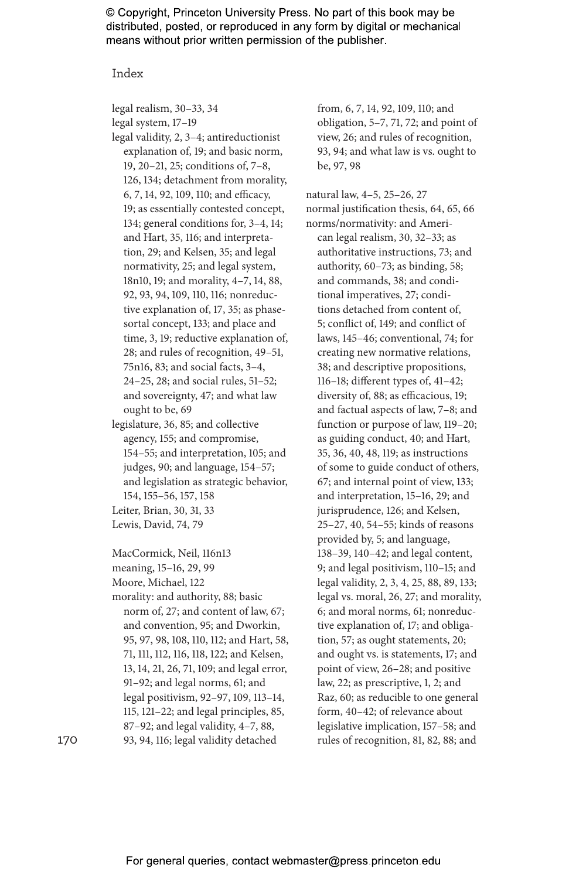## Index

- legal realism, 30–33, 34
- legal system, 17–19
- legal validity, 2, 3–4; antireductionist explanation of, 19; and basic norm, 19, 20–21, 25; conditions of, 7–8, 126, 134; detachment from morality, 6, 7, 14, 92, 109, 110; and efficacy, 19; as essentially contested concept, 134; general conditions for, 3–4, 14; and Hart, 35, 116; and interpretation, 29; and Kelsen, 35; and legal normativity, 25; and legal system, 18n10, 19; and morality, 4–7, 14, 88, 92, 93, 94, 109, 110, 116; nonreductive explanation of, 17, 35; as phasesortal concept, 133; and place and time, 3, 19; reductive explanation of, 28; and rules of recognition, 49–51, 75n16, 83; and social facts, 3–4, 24–25, 28; and social rules, 51–52; and sovereignty, 47; and what law ought to be, 69
- legislature, 36, 85; and collective agency, 155; and compromise, 154–55; and interpretation, 105; and judges, 90; and language, 154–57; and legislation as strategic behavior, 154, 155–56, 157, 158 Leiter, Brian, 30, 31, 33 Lewis, David, 74, 79
- MacCormick, Neil, 116n13
- meaning, 15–16, 29, 99

Moore, Michael, 122

morality: and authority, 88; basic norm of, 27; and content of law, 67; and convention, 95; and Dworkin, 95, 97, 98, 108, 110, 112; and Hart, 58, 71, 111, 112, 116, 118, 122; and Kelsen, 13, 14, 21, 26, 71, 109; and legal error, 91–92; and legal norms, 61; and legal positivism, 92–97, 109, 113–14, 115, 121–22; and legal principles, 85, 87–92; and legal validity, 4–7, 88, 93, 94, 116; legal validity detached

from, 6, 7, 14, 92, 109, 110; and obligation, 5–7, 71, 72; and point of view, 26; and rules of recognition, 93, 94; and what law is vs. ought to be, 97, 98

natural law, 4–5, 25–26, 27 normal justification thesis, 64, 65, 66 norms/normativity: and American legal realism, 30, 32–33; as authoritative instructions, 73; and authority, 60–73; as binding, 58; and commands, 38; and conditional imperatives, 27; conditions detached from content of, 5; conflict of, 149; and conflict of laws, 145–46; conventional, 74; for creating new normative relations, 38; and descriptive propositions, 116–18; different types of, 41–42; diversity of, 88; as efficacious, 19; and factual aspects of law, 7–8; and function or purpose of law, 119–20; as guiding conduct, 40; and Hart, 35, 36, 40, 48, 119; as instructions of some to guide conduct of others, 67; and internal point of view, 133; and interpretation, 15–16, 29; and jurisprudence, 126; and Kelsen, 25–27, 40, 54–55; kinds of reasons provided by, 5; and language, 138–39, 140–42; and legal content, 9; and legal positivism, 110–15; and legal validity, 2, 3, 4, 25, 88, 89, 133; legal vs. moral, 26, 27; and morality, 6; and moral norms, 61; nonreductive explanation of, 17; and obligation, 57; as ought statements, 20; and ought vs. is statements, 17; and point of view, 26–28; and positive law, 22; as prescriptive, 1, 2; and Raz, 60; as reducible to one general form, 40–42; of relevance about legislative implication, 157–58; and rules of recognition, 81, 82, 88; and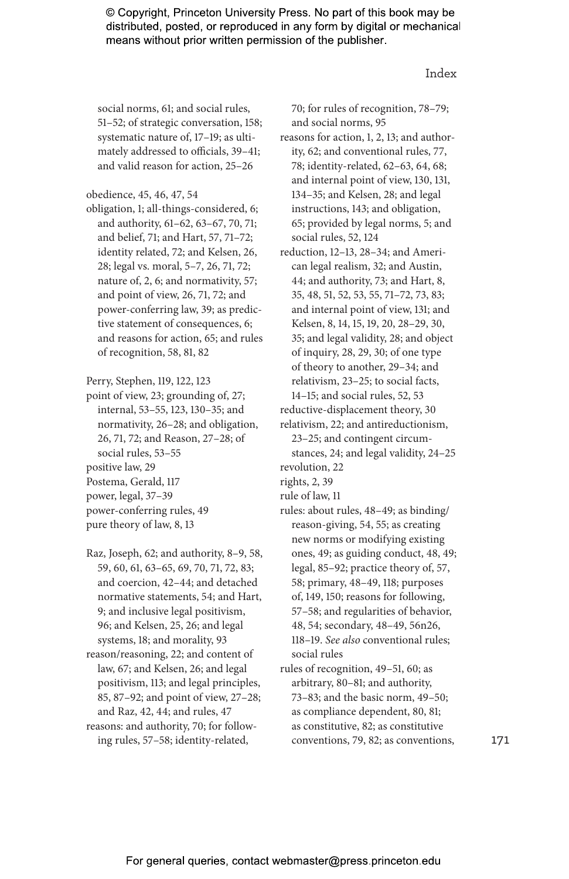#### Index

social norms, 61; and social rules, 51–52; of strategic conversation, 158; systematic nature of, 17–19; as ultimately addressed to officials, 39–41; and valid reason for action, 25–26

obedience, 45, 46, 47, 54

- obligation, 1; all-things-considered, 6; and authority, 61–62, 63–67, 70, 71; and belief, 71; and Hart, 57, 71–72; identity related, 72; and Kelsen, 26, 28; legal vs. moral, 5–7, 26, 71, 72; nature of, 2, 6; and normativity, 57; and point of view, 26, 71, 72; and power-conferring law, 39; as predictive statement of consequences, 6; and reasons for action, 65; and rules of recognition, 58, 81, 82
- Perry, Stephen, 119, 122, 123

point of view, 23; grounding of, 27; internal, 53–55, 123, 130–35; and normativity, 26–28; and obligation, 26, 71, 72; and Reason, 27–28; of social rules, 53–55 positive law, 29 Postema, Gerald, 117 power, legal, 37–39 power-conferring rules, 49 pure theory of law, 8, 13

- Raz, Joseph, 62; and authority, 8–9, 58, 59, 60, 61, 63–65, 69, 70, 71, 72, 83; and coercion, 42–44; and detached normative statements, 54; and Hart, 9; and inclusive legal positivism, 96; and Kelsen, 25, 26; and legal systems, 18; and morality, 93
- reason/reasoning, 22; and content of law, 67; and Kelsen, 26; and legal positivism, 113; and legal principles, 85, 87–92; and point of view, 27–28; and Raz, 42, 44; and rules, 47 reasons: and authority, 70; for follow-
- ing rules, 57–58; identity-related,

70; for rules of recognition, 78–79; and social norms, 95

- reasons for action, 1, 2, 13; and authority, 62; and conventional rules, 77, 78; identity-related, 62–63, 64, 68; and internal point of view, 130, 131, 134–35; and Kelsen, 28; and legal instructions, 143; and obligation, 65; provided by legal norms, 5; and social rules, 52, 124
- reduction, 12–13, 28–34; and American legal realism, 32; and Austin, 44; and authority, 73; and Hart, 8, 35, 48, 51, 52, 53, 55, 71–72, 73, 83; and internal point of view, 131; and Kelsen, 8, 14, 15, 19, 20, 28–29, 30, 35; and legal validity, 28; and object of inquiry, 28, 29, 30; of one type of theory to another, 29–34; and relativism, 23–25; to social facts, 14–15; and social rules, 52, 53 reductive-displacement theory, 30
- relativism, 22; and antireductionism, 23–25; and contingent circumstances, 24; and legal validity, 24–25
- revolution, 22
- rights, 2, 39
- rule of law, 11
- rules: about rules, 48–49; as binding/ reason-giving, 54, 55; as creating new norms or modifying existing ones, 49; as guiding conduct, 48, 49; legal, 85–92; practice theory of, 57, 58; primary, 48–49, 118; purposes of, 149, 150; reasons for following, 57–58; and regularities of behavior, 48, 54; secondary, 48–49, 56n26, 118–19. *See also* conventional rules; social rules
- rules of recognition, 49–51, 60; as arbitrary, 80–81; and authority, 73–83; and the basic norm, 49–50; as compliance dependent, 80, 81; as constitutive, 82; as constitutive conventions, 79, 82; as conventions,